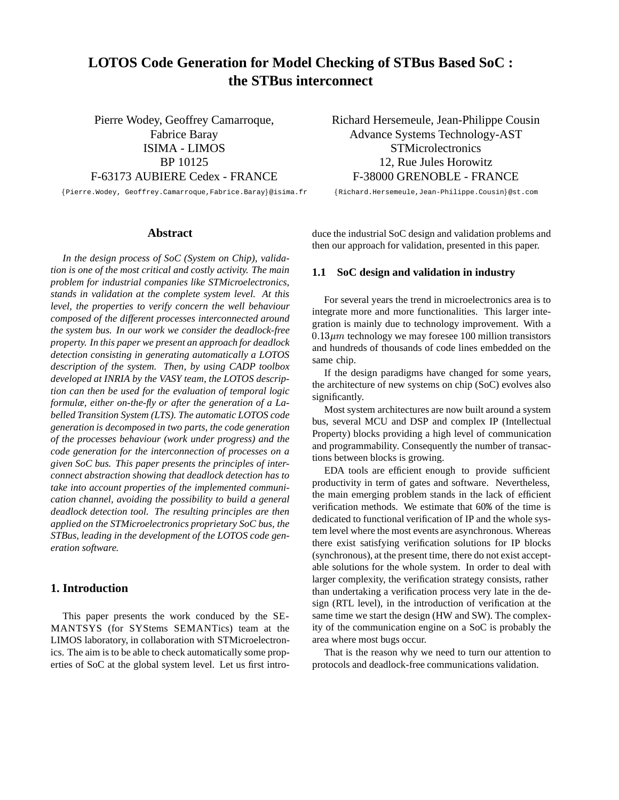# **LOTOS Code Generation for Model Checking of STBus Based SoC : the STBus interconnect**

Pierre Wodey, Geoffrey Camarroque, Fabrice Baray ISIMA - LIMOS BP 10125 F-63173 AUBIERE Cedex - FRANCE

Pierre.Wodey, Geoffrey.Camarroque,Fabrice.Baray@isima.fr

# **Abstract**

*In the design process of SoC (System on Chip), validation is one of the most critical and costly activity. The main problem for industrial companies like STMicroelectronics, stands in validation at the complete system level. At this level, the properties to verify concern the well behaviour composed of the different processes interconnected around the system bus. In our work we consider the deadlock-free property. In this paper we present an approach for deadlock detection consisting in generating automatically a LOTOS description of the system. Then, by using CADP toolbox developed at INRIA by the VASY team, the LOTOS description can then be used for the evaluation of temporal logic formulæ, either on-the-fly or after the generation of a Labelled Transition System (LTS). The automatic LOTOS code generation is decomposed in two parts, the code generation of the processes behaviour (work under progress) and the code generation for the interconnection of processes on a given SoC bus. This paper presents the principles of interconnect abstraction showing that deadlock detection has to take into account properties of the implemented communication channel, avoiding the possibility to build a general deadlock detection tool. The resulting principles are then applied on the STMicroelectronics proprietary SoC bus, the STBus, leading in the development of the LOTOS code generation software.*

# **1. Introduction**

This paper presents the work conduced by the SE-MANTSYS (for SYStems SEMANTics) team at the LIMOS laboratory, in collaboration with STMicroelectronics. The aim is to be able to check automatically some properties of SoC at the global system level. Let us first introRichard Hersemeule, Jean-Philippe Cousin Advance Systems Technology-AST **STMicrolectronics** 12, Rue Jules Horowitz F-38000 GRENOBLE - FRANCE

Richard.Hersemeule,Jean-Philippe.Cousin@st.com

duce the industrial SoC design and validation problems and then our approach for validation, presented in this paper.

# **1.1 SoC design and validation in industry**

For several years the trend in microelectronics area is to integrate more and more functionalities. This larger integration is mainly due to technology improvement. With a  $0.13 \mu m$  technology we may foresee 100 million transistors and hundreds of thousands of code lines embedded on the same chip.

If the design paradigms have changed for some years, the architecture of new systems on chip (SoC) evolves also significantly.

Most system architectures are now built around a system bus, several MCU and DSP and complex IP (Intellectual Property) blocks providing a high level of communication and programmability. Consequently the number of transactions between blocks is growing.

EDA tools are efficient enough to provide sufficient productivity in term of gates and software. Nevertheless, the main emerging problem stands in the lack of efficient verification methods. We estimate that 60% of the time is dedicated to functional verification of IP and the whole system level where the most events are asynchronous. Whereas there exist satisfying verification solutions for IP blocks (synchronous), at the present time, there do not exist acceptable solutions for the whole system. In order to deal with larger complexity, the verification strategy consists, rather than undertaking a verification process very late in the design (RTL level), in the introduction of verification at the same time we start the design (HW and SW). The complexity of the communication engine on a SoC is probably the area where most bugs occur.

That is the reason why we need to turn our attention to protocols and deadlock-free communications validation.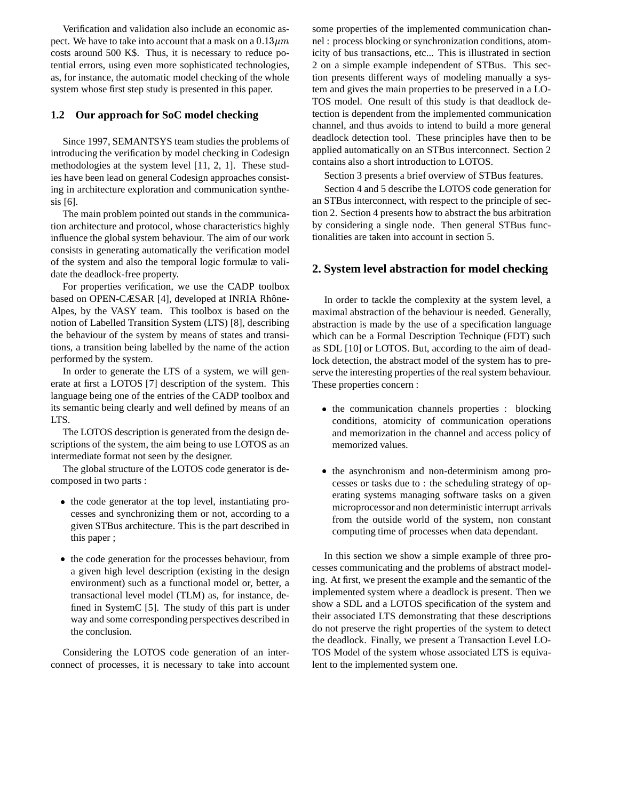Verification and validation also include an economic aspect. We have to take into account that a mask on a  $0.13 \mu m$ costs around 500 K\$. Thus, it is necessary to reduce potential errors, using even more sophisticated technologies, as, for instance, the automatic model checking of the whole system whose first step study is presented in this paper.

# **1.2 Our approach for SoC model checking**

Since 1997, SEMANTSYS team studies the problems of introducing the verification by model checking in Codesign methodologies at the system level [11, 2, 1]. These studies have been lead on general Codesign approaches consisting in architecture exploration and communication synthesis [6].

The main problem pointed out stands in the communication architecture and protocol, whose characteristics highly influence the global system behaviour. The aim of our work consists in generating automatically the verification model of the system and also the temporal logic formulæ to validate the deadlock-free property.

For properties verification, we use the CADP toolbox based on OPEN-CÆSAR [4], developed at INRIA Rhône-Alpes, by the VASY team. This toolbox is based on the notion of Labelled Transition System (LTS) [8], describing the behaviour of the system by means of states and transitions, a transition being labelled by the name of the action performed by the system.

In order to generate the LTS of a system, we will generate at first a LOTOS [7] description of the system. This language being one of the entries of the CADP toolbox and its semantic being clearly and well defined by means of an LTS.

The LOTOS description is generated from the design descriptions of the system, the aim being to use LOTOS as an intermediate format not seen by the designer.

The global structure of the LOTOS code generator is decomposed in two parts :

- the code generator at the top level, instantiating processes and synchronizing them or not, according to a given STBus architecture. This is the part described in this paper ;
- the code generation for the processes behaviour, from a given high level description (existing in the design environment) such as a functional model or, better, a transactional level model (TLM) as, for instance, defined in SystemC [5]. The study of this part is under way and some corresponding perspectives described in the conclusion.

Considering the LOTOS code generation of an interconnect of processes, it is necessary to take into account

 $.13 \mu m$  nel : process blocking or synchronization conditions, atomsome properties of the implemented communication chanicity of bus transactions, etc... This is illustrated in section 2 on a simple example independent of STBus. This section presents different ways of modeling manually a system and gives the main properties to be preserved in a LO-TOS model. One result of this study is that deadlock detection is dependent from the implemented communication channel, and thus avoids to intend to build a more general deadlock detection tool. These principles have then to be applied automatically on an STBus interconnect. Section 2 contains also a short introduction to LOTOS.

Section 3 presents a brief overview of STBus features.

Section 4 and 5 describe the LOTOS code generation for an STBus interconnect, with respect to the principle of section 2. Section 4 presents how to abstract the bus arbitration by considering a single node. Then general STBus functionalities are taken into account in section 5.

# **2. System level abstraction for model checking**

In order to tackle the complexity at the system level, a maximal abstraction of the behaviour is needed. Generally, abstraction is made by the use of a specification language which can be a Formal Description Technique (FDT) such as SDL [10] or LOTOS. But, according to the aim of deadlock detection, the abstract model of the system has to preserve the interesting properties of the real system behaviour. These properties concern :

- the communication channels properties : blocking conditions, atomicity of communication operations and memorization in the channel and access policy of memorized values.
- the asynchronism and non-determinism among processes or tasks due to : the scheduling strategy of operating systems managing software tasks on a given microprocessor and non deterministic interrupt arrivals from the outside world of the system, non constant computing time of processes when data dependant.

In this section we show a simple example of three processes communicating and the problems of abstract modeling. At first, we present the example and the semantic of the implemented system where a deadlock is present. Then we show a SDL and a LOTOS specification of the system and their associated LTS demonstrating that these descriptions do not preserve the right properties of the system to detect the deadlock. Finally, we present a Transaction Level LO-TOS Model of the system whose associated LTS is equivalent to the implemented system one.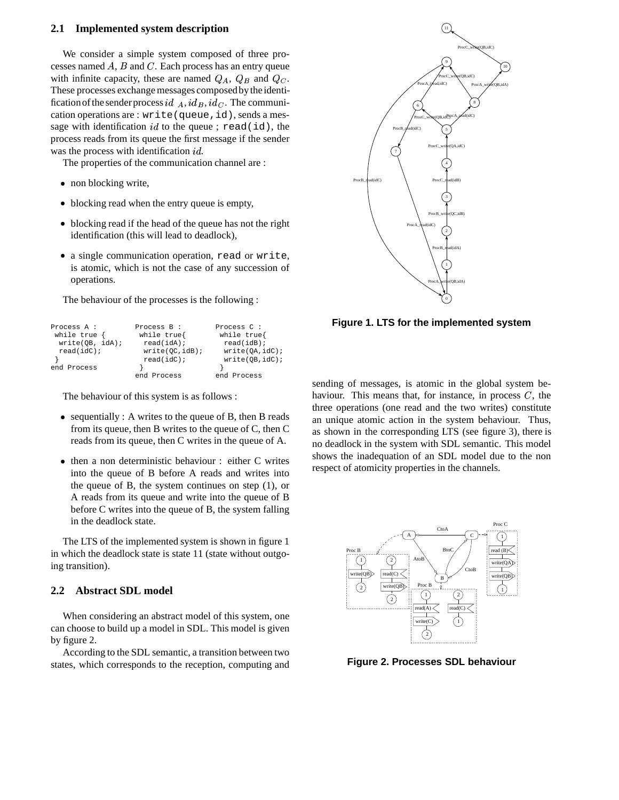# **2.1 Implemented system description**

We consider a simple system composed of three processes named  $A$ ,  $B$  and  $C$ . Each process has an entry queue with infinite capacity, these are named  $Q_A$ ,  $Q_B$  and  $Q_C$ . These processes exchange messages composed by the identification of the sender process  $id_{A}$ ,  $id_{B}$ ,  $id_{C}$ . The communication operations are : write(queue,id), sends a message with identification  $id$  to the queue; read(id), the process reads from its queue the first message if the sender was the process with identification  $id$ .

The properties of the communication channel are :

- non blocking write,
- blocking read when the entry queue is empty,
- blocking read if the head of the queue has not the right identification (this will lead to deadlock),
- a single communication operation, read or write, is atomic, which is not the case of any succession of operations.

The behaviour of the processes is the following :

| Process A :     | Process B:      | Process C :     |
|-----------------|-----------------|-----------------|
| while $true$ {  | while true      | while true{     |
| write(OB, idA); | $read(idA)$ ;   | $read(idB)$ ;   |
| $read(idC)$ ;   | write(OC, idB); | write(OA, idC); |
|                 | $read(idC)$ ;   | write(OB, idC); |
| end Process     |                 |                 |
|                 | end Process     | end Process     |

The behaviour of this system is as follows :

- sequentially : A writes to the queue of B, then B reads from its queue, then B writes to the queue of C, then C reads from its queue, then C writes in the queue of A.
- then a non deterministic behaviour : either C writes into the queue of B before A reads and writes into the queue of B, the system continues on step (1), or A reads from its queue and write into the queue of B before C writes into the queue of B, the system falling in the deadlock state.

The LTS of the implemented system is shown in figure 1 in which the deadlock state is state 11 (state without outgoing transition).

# **2.2 Abstract SDL model**

When considering an abstract model of this system, one can choose to build up a model in SDL. This model is given by figure 2.

According to the SDL semantic, a transition between two states, which corresponds to the reception, computing and



**Figure 1. LTS for the implemented system**

sending of messages, is atomic in the global system behaviour. This means that, for instance, in process  $C$ , the three operations (one read and the two writes) constitute an unique atomic action in the system behaviour. Thus, as shown in the corresponding LTS (see figure 3), there is no deadlock in the system with SDL semantic. This model shows the inadequation of an SDL model due to the non respect of atomicity properties in the channels.



**Figure 2. Processes SDL behaviour**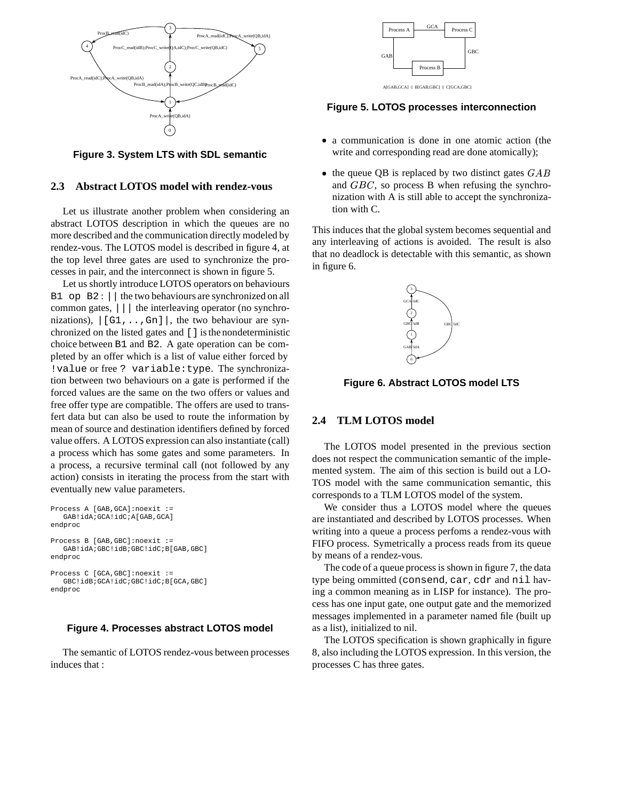

**Figure 3. System LTS with SDL semantic**

# **2.3 Abstract LOTOS model with rendez-vous**

Let us illustrate another problem when considering an abstract LOTOS description in which the queues are no more described and the communication directly modeled by rendez-vous. The LOTOS model is described in figure 4, at the top level three gates are used to synchronize the processes in pair, and the interconnect is shown in figure 5.

Let us shortly introduce LOTOS operators on behaviours B1 op B2 : || the two behaviours are synchronized on all common gates, ||| the interleaving operator (no synchronizations),  $|G1, \ldots, Gn|$ , the two behaviour are synchronized on the listed gates and [] is the nondeterministic choice between B1 and B2. A gate operation can be completed by an offer which is a list of value either forced by !value or free ? variable:type. The synchronization between two behaviours on a gate is performed if the forced values are the same on the two offers or values and free offer type are compatible. The offers are used to transfert data but can also be used to route the information by mean of source and destination identifiers defined by forced value offers. A LOTOS expression can also instantiate (call) a process which has some gates and some parameters. In a process, a recursive terminal call (not followed by any action) consists in iterating the process from the start with eventually new value parameters.

```
Process A [GAB,GCA]:noexit :=
   GAB!idA;GCA!idC;A[GAB,GCA]
endproc
Process B [GAB,GBC]:noexit :=
   GAB!idA;GBC!idB;GBC!idC;B[GAB,GBC]
endproc
Process C [GCA,GBC]:noexit :=
   GBC!idB;GCA!idC;GBC!idC;B[GCA,GBC]
endproc
```
# **Figure 4. Processes abstract LOTOS model**

The semantic of LOTOS rendez-vous between processes induces that :



**Figure 5. LOTOS processes interconnection**

- a communication is done in one atomic action (the write and corresponding read are done atomically);
- the queue QB is replaced by two distinct gates  $GAB$ and  $GBC$ , so process B when refusing the synchronization with A is still able to accept the synchronization with C.

This induces that the global system becomes sequential and any interleaving of actions is avoided. The result is also that no deadlock is detectable with this semantic, as shown in figure 6.



**Figure 6. Abstract LOTOS model LTS**

# **2.4 TLM LOTOS model**

The LOTOS model presented in the previous section does not respect the communication semantic of the implemented system. The aim of this section is build out a LO-TOS model with the same communication semantic, this corresponds to a TLM LOTOS model of the system.

We consider thus a LOTOS model where the queues are instantiated and described by LOTOS processes. When writing into a queue a process perfoms a rendez-vous with FIFO process. Symetrically a process reads from its queue by means of a rendez-vous.

The code of a queue process is shown in figure 7, the data type being ommitted (consend, car, cdr and nil having a common meaning as in LISP for instance). The process has one input gate, one output gate and the memorized messages implemented in a parameter named file (built up as a list), initialized to nil.

The LOTOS specification is shown graphically in figure 8, also including the LOTOS expression. In this version, the processes C has three gates.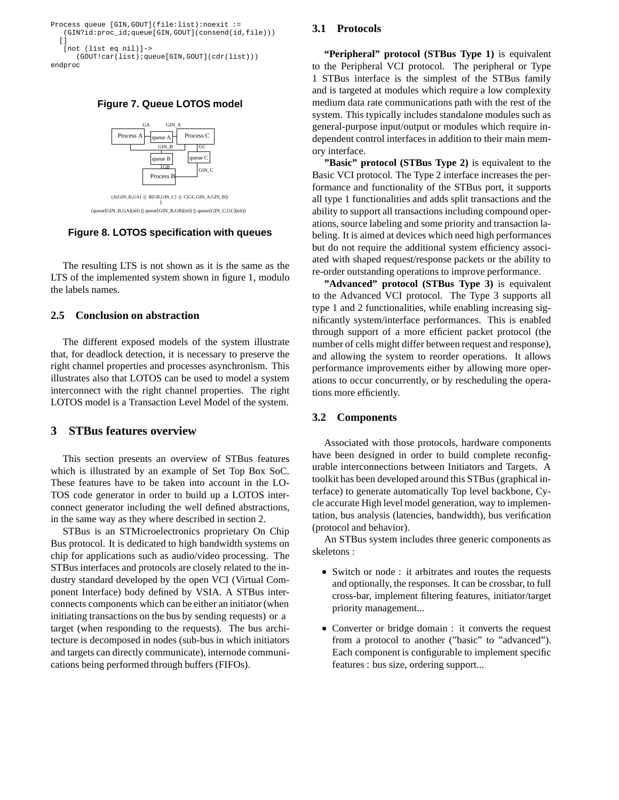

**Figure 7. Queue LOTOS model**



 || (queue[GIN\_B,GA](nil) ||| queue[GIN\_B,GB](nil) ||| queue[GIN\_C,GC](nil))

**Figure 8. LOTOS specification with queues**

The resulting LTS is not shown as it is the same as the LTS of the implemented system shown in figure 1, modulo the labels names.

# **2.5 Conclusion on abstraction**

The different exposed models of the system illustrate that, for deadlock detection, it is necessary to preserve the right channel properties and processes asynchronism. This illustrates also that LOTOS can be used to model a system interconnect with the right channel properties. The right LOTOS model is a Transaction Level Model of the system.

# **3 STBus features overview**

This section presents an overview of STBus features which is illustrated by an example of Set Top Box SoC. These features have to be taken into account in the LO-TOS code generator in order to build up a LOTOS interconnect generator including the well defined abstractions, in the same way as they where described in section 2.

STBus is an STMicroelectronics proprietary On Chip Bus protocol. It is dedicated to high bandwidth systems on chip for applications such as audio/video processing. The STBus interfaces and protocols are closely related to the industry standard developed by the open VCI (Virtual Component Interface) body defined by VSIA. A STBus interconnects components which can be either an initiator (when initiating transactions on the bus by sending requests) or a target (when responding to the requests). The bus architecture is decomposed in nodes (sub-bus in which initiators and targets can directly communicate), internode communications being performed through buffers (FIFOs).

### **3.1 Protocols**

**"Peripheral" protocol (STBus Type 1)** is equivalent to the Peripheral VCI protocol. The peripheral or Type 1 STBus interface is the simplest of the STBus family and is targeted at modules which require a low complexity medium data rate communications path with the rest of the system. This typically includes standalone modules such as general-purpose input/output or modules which require independent control interfaces in addition to their main memory interface.

**"Basic" protocol (STBus Type 2)** is equivalent to the Basic VCI protocol. The Type 2 interface increases the performance and functionality of the STBus port, it supports all type 1 functionalities and adds split transactions and the ability to support all transactions including compound operations, source labeling and some priority and transaction labeling. It is aimed at devices which need high performances but do not require the additional system efficiency associated with shaped request/response packets or the ability to re-order outstanding operations to improve performance.

**"Advanced" protocol (STBus Type 3)** is equivalent to the Advanced VCI protocol. The Type 3 supports all type 1 and 2 functionalities, while enabling increasing significantly system/interface performances. This is enabled through support of a more efficient packet protocol (the number of cells might differ between request and response), and allowing the system to reorder operations. It allows performance improvements either by allowing more operations to occur concurrently, or by rescheduling the operations more efficiently.

#### **3.2 Components**

Associated with those protocols, hardware components have been designed in order to build complete reconfigurable interconnections between Initiators and Targets. A toolkit has been developed around this STBus (graphical interface) to generate automatically Top level backbone, Cycle accurate High level model generation, way to implementation, bus analysis (latencies, bandwidth), bus verification (protocol and behavior).

An STBus system includes three generic components as skeletons :

- Switch or node : it arbitrates and routes the requests and optionally, the responses. It can be crossbar, to full cross-bar, implement filtering features, initiator/target priority management...
- Converter or bridge domain : it converts the request from a protocol to another ("basic" to "advanced"). Each component is configurable to implement specific features : bus size, ordering support...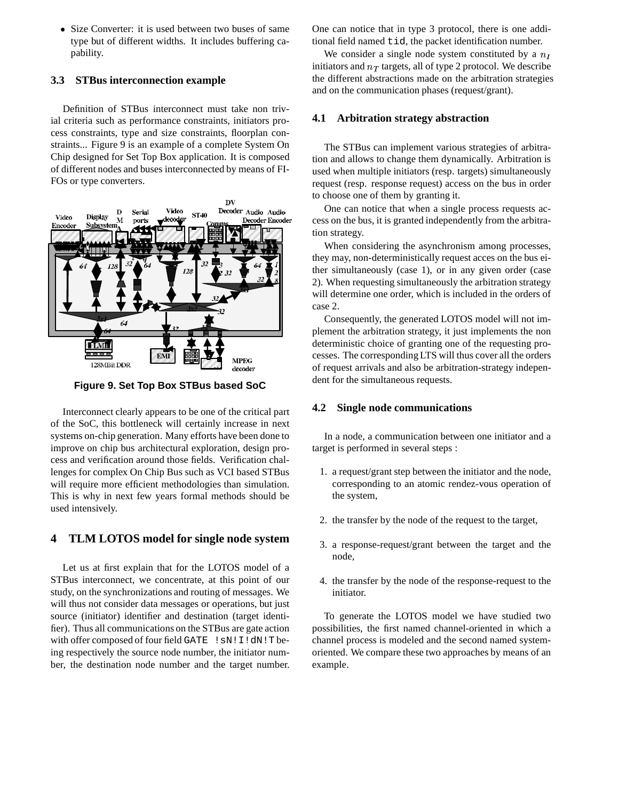• Size Converter: it is used between two buses of same type but of different widths. It includes buffering capability.

# **3.3 STBus interconnection example**

Definition of STBus interconnect must take non trivial criteria such as performance constraints, initiators process constraints, type and size constraints, floorplan constraints... Figure 9 is an example of a complete System On Chip designed for Set Top Box application. It is composed of different nodes and buses interconnected by means of FI-FOs or type converters.



**Figure 9. Set Top Box STBus based SoC**

Interconnect clearly appears to be one of the critical part of the SoC, this bottleneck will certainly increase in next systems on-chip generation. Many efforts have been done to improve on chip bus architectural exploration, design process and verification around those fields. Verification challenges for complex On Chip Bus such as VCI based STBus will require more efficient methodologies than simulation. This is why in next few years formal methods should be used intensively.

# **4 TLM LOTOS model for single node system**

Let us at first explain that for the LOTOS model of a STBus interconnect, we concentrate, at this point of our study, on the synchronizations and routing of messages. We will thus not consider data messages or operations, but just source (initiator) identifier and destination (target identifier). Thus all communications on the STBus are gate action with offer composed of four field GATE ! SN! I!dN! T being respectively the source node number, the initiator number, the destination node number and the target number.

One can notice that in type 3 protocol, there is one additional field named tid, the packet identification number.

We consider a single node system constituted by a  $n_I$ initiators and  $n_T$  targets, all of type 2 protocol. We describe the different abstractions made on the arbitration strategies and on the communication phases (request/grant).

# **4.1 Arbitration strategy abstraction**

The STBus can implement various strategies of arbitration and allows to change them dynamically. Arbitration is used when multiple initiators (resp. targets) simultaneously request (resp. response request) access on the bus in order to choose one of them by granting it.

One can notice that when a single process requests access on the bus, it is granted independently from the arbitration strategy.

When considering the asynchronism among processes, they may, non-deterministically request acces on the bus either simultaneously (case 1), or in any given order (case 2). When requesting simultaneously the arbitration strategy will determine one order, which is included in the orders of case 2.

Consequently, the generated LOTOS model will not implement the arbitration strategy, it just implements the non deterministic choice of granting one of the requesting processes. The corresponding LTS will thus cover all the orders of request arrivals and also be arbitration-strategy independent for the simultaneous requests.

# **4.2 Single node communications**

In a node, a communication between one initiator and a target is performed in several steps :

- 1. a request/grant step between the initiator and the node, corresponding to an atomic rendez-vous operation of the system,
- 2. the transfer by the node of the request to the target,
- 3. a response-request/grant between the target and the node,
- 4. the transfer by the node of the response-request to the initiator.

To generate the LOTOS model we have studied two possibilities, the first named channel-oriented in which a channel process is modeled and the second named systemoriented. We compare these two approaches by means of an example.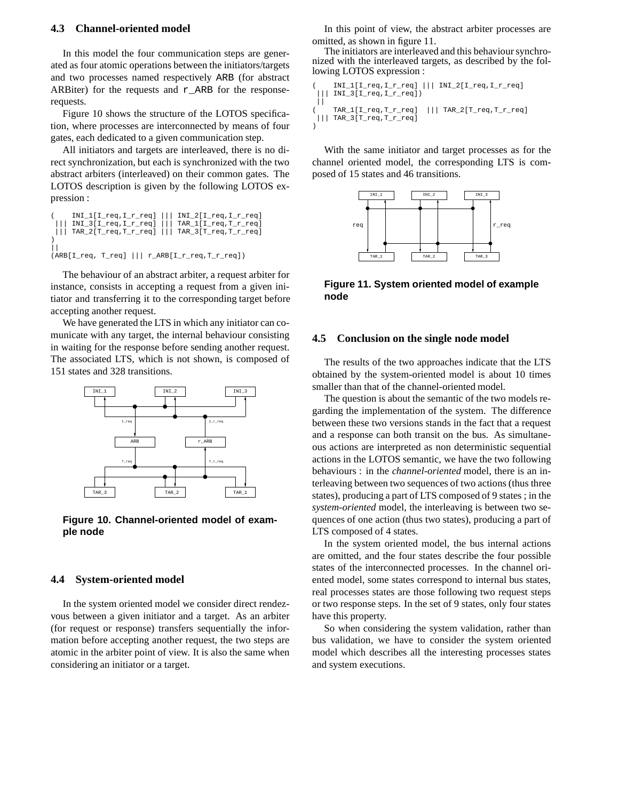#### **4.3 Channel-oriented model**

In this model the four communication steps are generated as four atomic operations between the initiators/targets and two processes named respectively ARB (for abstract ARBiter) for the requests and  $r$ <sub>ARB</sub> for the responserequests.

Figure 10 shows the structure of the LOTOS specification, where processes are interconnected by means of four gates, each dedicated to a given communication step.

All initiators and targets are interleaved, there is no direct synchronization, but each is synchronized with the two abstract arbiters (interleaved) on their common gates. The LOTOS description is given by the following LOTOS expression :

```
( INI_1[I_req,I_r_req] ||| INI_2[I_req,I_r_req]
    INI_3[I_req,I_r_req] || | TAR_1[I_req,T_r_req]||| TAR_2[T_req,T_r_req] ||| TAR_3[T_req,T_r_req]
)
\|(ARB[I_req, T_req] ||| r_ARB[I_r_req,T_r_req])
```
The behaviour of an abstract arbiter, a request arbiter for instance, consists in accepting a request from a given initiator and transferring it to the corresponding target before accepting another request.

We have generated the LTS in which any initiator can comunicate with any target, the internal behaviour consisting in waiting for the response before sending another request. The associated LTS, which is not shown, is composed of 151 states and 328 transitions.



**Figure 10. Channel-oriented model of example node**

#### **4.4 System-oriented model**

In the system oriented model we consider direct rendezvous between a given initiator and a target. As an arbiter (for request or response) transfers sequentially the information before accepting another request, the two steps are atomic in the arbiter point of view. It is also the same when considering an initiator or a target.

In this point of view, the abstract arbiter processes are omitted, as shown in figure 11.

The initiators are interleaved and this behaviour synchronized with the interleaved targets, as described by the following LOTOS expression :

```
INI_1[I_req,I_r_req] || | INI_2[I_req,I_r_req]\texttt{INI_3[I_req,I_r_req]})| \ |( TAR_1[I_req,T_r_req] ||| TAR_2[T_req,T_r_req]
 ||| TAR_3[T_req,T_r_req]
\lambda
```
With the same initiator and target processes as for the channel oriented model, the corresponding LTS is composed of 15 states and 46 transitions.



**Figure 11. System oriented model of example node**

### **4.5 Conclusion on the single node model**

The results of the two approaches indicate that the LTS obtained by the system-oriented model is about 10 times smaller than that of the channel-oriented model.

The question is about the semantic of the two models regarding the implementation of the system. The difference between these two versions stands in the fact that a request and a response can both transit on the bus. As simultaneous actions are interpreted as non deterministic sequential actions in the LOTOS semantic, we have the two following behaviours : in the *channel-oriented* model, there is an interleaving between two sequences of two actions (thus three states), producing a part of LTS composed of 9 states ; in the *system-oriented* model, the interleaving is between two sequences of one action (thus two states), producing a part of LTS composed of 4 states.

In the system oriented model, the bus internal actions are omitted, and the four states describe the four possible states of the interconnected processes. In the channel oriented model, some states correspond to internal bus states, real processes states are those following two request steps or two response steps. In the set of 9 states, only four states have this property.

So when considering the system validation, rather than bus validation, we have to consider the system oriented model which describes all the interesting processes states and system executions.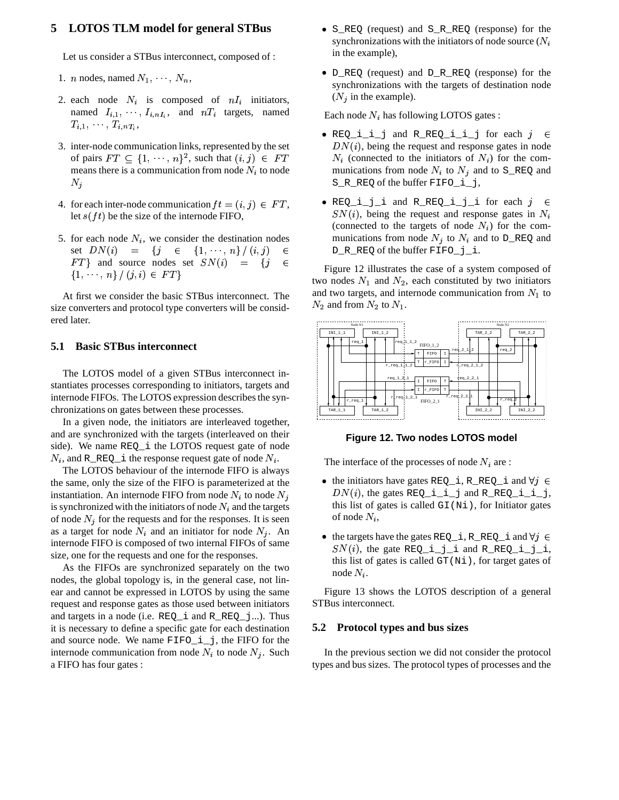# **5 LOTOS TLM model for general STBus**

Let us consider a STBus interconnect, composed of :

- 1. *n* nodes, named  $N_1, \dots, N_n$ ,
- 2. each node  $N_i$  is composed of  $nI_i$  initiators, named  $I_{i,1}, \dots, I_{i,nI_i}$ , and  $nT_i$  targets, named  $T_{i,1},\,\cdots,\,T_{i,nT_i},$
- 3. inter-node communication links, represented by the set of pairs  $FT \subseteq \{1, \dots, n\}^2$ , such that  $(i, j) \in FT$ means there is a communication from node  $N_i$  to node  $N_j$
- 4. for each inter-node communication  $ft = (i, j) \in FT$ , let  $s(ft)$  be the size of the internode FIFO,
- 5. for each node  $N_i$ , we consider the destination nodes set  $DN(i)$  =  $\{j \in \{1, \cdots, n\}/(i,j) \in D\}$ FT} and source nodes set  $SN(i) = \{j \in \mathbb{C}\}$   $\{1, \dots, n\} / (i, i) \in FT\}$

At first we consider the basic STBus interconnect. The size converters and protocol type converters will be considered later.

#### **5.1 Basic STBus interconnect**

The LOTOS model of a given STBus interconnect instantiates processes corresponding to initiators, targets and internode FIFOs. The LOTOS expression describes the synchronizations on gates between these processes.

In a given node, the initiators are interleaved together, and are synchronized with the targets (interleaved on their side). We name REQ\_i the LOTOS request gate of node  $N_i$ , and R\_REQ\_i the response request gate of node  $N_i$ .

The LOTOS behaviour of the internode FIFO is always the same, only the size of the FIFO is parameterized at the instantiation. An internode FIFO from node  $N_i$  to node  $N_j$ is synchronized with the initiators of node  $N_i$  and the targets of node  $N_j$  for the requests and for the responses. It is seen as a target for node  $N_i$  and an initiator for node  $N_i$ . An internode FIFO is composed of two internal FIFOs of same size, one for the requests and one for the responses.

As the FIFOs are synchronized separately on the two nodes, the global topology is, in the general case, not linear and cannot be expressed in LOTOS by using the same request and response gates as those used between initiators and targets in a node (i.e. REQ\_i and R\_REQ\_j...). Thus it is necessary to define a specific gate for each destination and source node. We name FIFO\_i\_j, the FIFO for the internode communication from node  $N_i$  to node  $N_j$ . Such a FIFO has four gates :

- S\_REQ (request) and S\_R\_REQ (response) for the synchronizations with the initiators of node source  $(N_i)$ in the example),
- D\_REQ (request) and D\_R\_REQ (response) for the synchronizations with the targets of destination node  $(N_j$  in the example).

Each node  $N_i$  has following LOTOS gates :

- $\bullet$  REQ\_i\_i\_j and R\_REQ\_i\_i\_j for each  $j \in$  $DN(i)$ , being the request and response gates in node  $N_i$  (connected to the initiators of  $N_i$ ) for the communications from node  $N_i$  to  $N_j$  and to S\_REQ and S\_R\_REQ of the buffer FIFO\_i\_j,
- $\bullet$  REQ\_i\_j\_i and R\_REQ\_i\_j\_i for each  $j \in$  $SN(i)$ , being the request and response gates in  $N_i$ (connected to the targets of node  $N_i$ ) for the communications from node  $N_j$  to  $N_i$  and to D\_REQ and D\_R\_REQ of the buffer FIFO\_j\_i.

Figure 12 illustrates the case of a system composed of two nodes  $N_1$  and  $N_2$ , each constituted by two initiators and two targets, and internode communication from  $N_1$  to  $N_2$  and from  $N_2$  to  $N_1$ .



**Figure 12. Two nodes LOTOS model**

The interface of the processes of node  $N_i$  are :

- the initiators have gates REQ i, R\_REQ i and  $\forall j \in$  $DN(i)$ , the gates REQ  $i$   $i$   $j$  and R REQ  $i$   $i$   $j$ , this list of gates is called  $GI(Ni)$ , for Initiator gates of node  $N_i$ ,
- the targets have the gates REQ\_i, R\_REQ\_i and  $\forall j \in$  $SN(i)$ , the gate REQ\_i\_j\_i and R\_REQ\_i\_j\_i, this list of gates is called GT(Ni), for target gates of node  $N_i$ .

Figure 13 shows the LOTOS description of a general STBus interconnect.

#### **5.2 Protocol types and bus sizes**

In the previous section we did not consider the protocol types and bus sizes. The protocol types of processes and the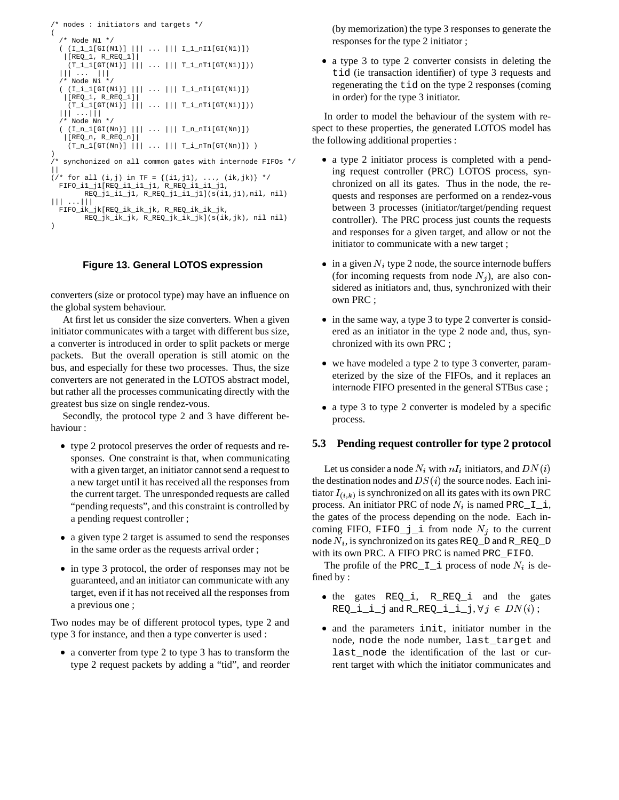```
/* nodes : initiators and targets */
(
   /* Node N1 */
   ( \begin{array}{ccc} (\mathtt{I\_l\_l}\allowbreak(\mathtt{SI}\allowbreak(\mathtt{N1})\allowbreak) & || \hspace{.06cm} || \hspace{.06cm} \ldots & || \hspace{.06cm} || \hspace{.06cm} \mathtt{I\_l\_nll}\allowbreak(\mathtt{GI}\allowbreak(\mathtt{N1})\allowbreak) \end{array})|[REQ_1, R_REQ_1]|
       (T_1_1[T(T(N1))] | | ... | | T_1_T[T(T(N1)]))||| ... |||
   /* Node Ni */
   ( \begin{array}{ccc} (\mathbb{I}\_{i}\_{1}[GL(Ni)] \mid || & \ldots \mid || & \mathbb{I}\_{i}\_{n}[GL(Ni)] ) \end{array}|[REQ_i, R_REQ_i]|
      (T_i_1_T[T(T_i, i)] | | ... | | T_i_T[T(T_i, i)]||| ...|||
   /* Node Nn */
   ( (\mathop{\mathtt{In\_l}}\nolimits[\mathop{\mathtt{GI}}\nolimits(\mathop{\mathtt{Nn}}\nolimits)) \mid || \ldots ||| \mathop{\mathtt{In\_m}}\nolimits[\mathop{\mathtt{GI}}\nolimits(\mathop{\mathtt{Nn}}\nolimits))|[REQ_n, R_REQ_n]|
      (T_n_1[GT(Nn)] | || ... ||T_i_nTn[GT(Nn)] ))
/* synchonized on all common gates with internode FIFOs */
||
(/* for all (i,j) in TF = {(i1,j1), ..., (ik,jk)} */
  FIFO_i1_j1[REQ_i1_i1_j1, R_REQ_i1_i1_j1,
            \verb"REQ_jl_i_l_j, \verb"R_reQ_jl_i_l_jl](s(i),jl),nil, nil)||| ...|||
  FIFO_ik_jk[REQ_ik_ik_jk, R_REQ_ik_ik_jk,
            REQ_jk_ik_jk, R_REQ_jk_ik_jk](s(ik,jk), nil nil)
)
```
# **Figure 13. General LOTOS expression**

converters (size or protocol type) may have an influence on the global system behaviour.

At first let us consider the size converters. When a given initiator communicates with a target with different bus size, a converter is introduced in order to split packets or merge packets. But the overall operation is still atomic on the bus, and especially for these two processes. Thus, the size converters are not generated in the LOTOS abstract model, but rather all the processes communicating directly with the greatest bus size on single rendez-vous.

Secondly, the protocol type 2 and 3 have different behaviour :

- type 2 protocol preserves the order of requests and responses. One constraint is that, when communicating with a given target, an initiator cannot send a request to a new target until it has received all the responses from the current target. The unresponded requests are called "pending requests", and this constraint is controlled by a pending request controller ;
- a given type 2 target is assumed to send the responses in the same order as the requests arrival order ;
- in type 3 protocol, the order of responses may not be guaranteed, and an initiator can communicate with any target, even if it has not received all the responses from a previous one ;

Two nodes may be of different protocol types, type 2 and type 3 for instance, and then a type converter is used :

 a converter from type 2 to type 3 has to transform the type 2 request packets by adding a "tid", and reorder (by memorization) the type 3 responses to generate the responses for the type 2 initiator ;

 a type 3 to type 2 converter consists in deleting the tid (ie transaction identifier) of type 3 requests and regenerating the tid on the type 2 responses (coming in order) for the type 3 initiator.

In order to model the behaviour of the system with respect to these properties, the generated LOTOS model has the following additional properties :

- a type 2 initiator process is completed with a pending request controller (PRC) LOTOS process, synchronized on all its gates. Thus in the node, the requests and responses are performed on a rendez-vous between 3 processes (initiator/target/pending request controller). The PRC process just counts the requests and responses for a given target, and allow or not the initiator to communicate with a new target ;
- $\bullet$  in a given  $N_i$  type 2 node, the source internode buffers (for incoming requests from node  $N_j$ ), are also considered as initiators and, thus, synchronized with their own PRC ;
- in the same way, a type 3 to type 2 converter is considered as an initiator in the type 2 node and, thus, synchronized with its own PRC ;
- we have modeled a type 2 to type 3 converter, parameterized by the size of the FIFOs, and it replaces an internode FIFO presented in the general STBus case ;
- a type 3 to type 2 converter is modeled by a specific process.

### **5.3 Pending request controller for type 2 protocol**

Let us consider a node  $N_i$  with  $nI_i$  initiators, and  $DN(i)$ the destination nodes and  $DS(i)$  the source nodes. Each initiator  $I_{(i,k)}$  is synchronized on all its gates with its own PRC process. An initiator PRC of node  $N_i$  is named PRC\_I\_i, the gates of the process depending on the node. Each incoming FIFO, FIFO<sub> $j$ </sub> i from node  $N_i$  to the current node  $N_i$ , is synchronized on its gates REQ\_D and R\_REQ\_D with its own PRC. A FIFO PRC is named PRC\_FIFO.

The profile of the PRC<sub>II</sub> process of node  $N_i$  is defined by :

- the gates REQ\_i, R\_REQ\_i and the gates  $\texttt{REQ\_i\_i\_j}$  and  $\texttt{R\_REQ\_i\_i\_j}, \forall\, j\, \in\, DN(i)$  ;
- and the parameters init, initiator number in the node, node the node number, last\_target and last\_node the identification of the last or current target with which the initiator communicates and